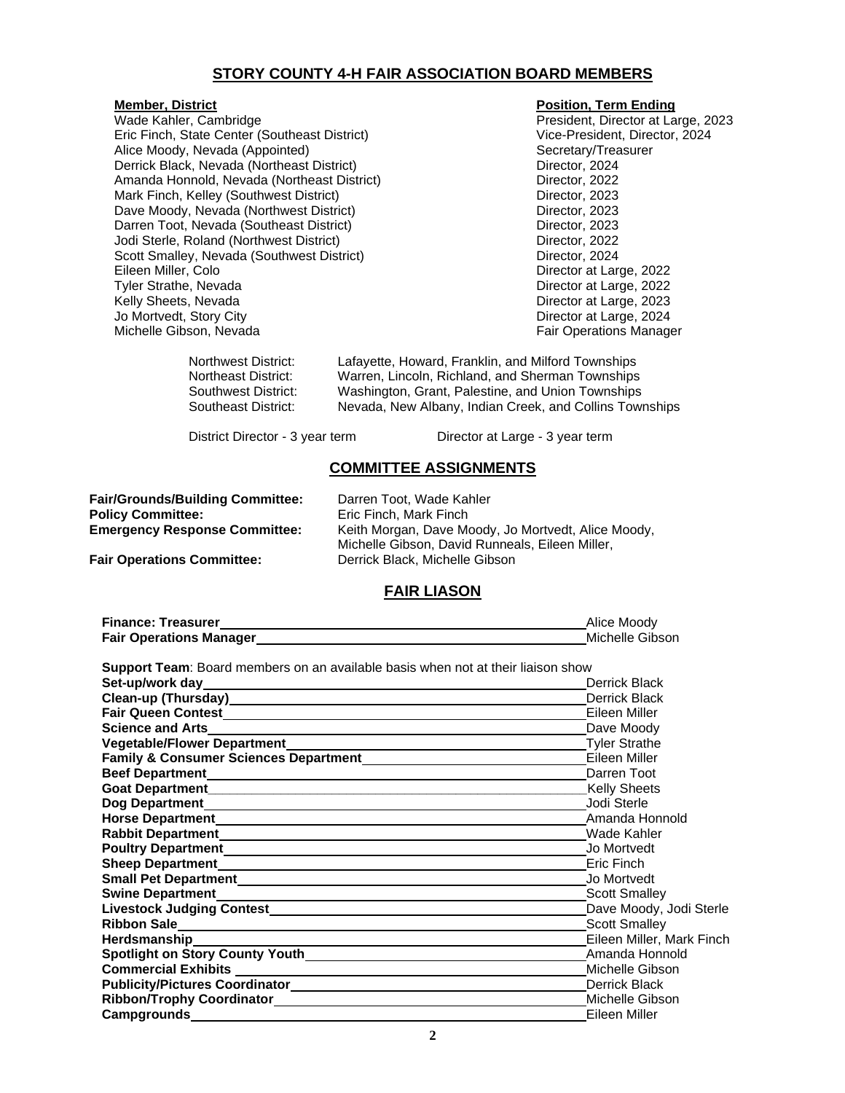## **STORY COUNTY 4-H FAIR ASSOCIATION BOARD MEMBERS**

Wade Kahler, Cambridge **President, Director at Large, 2023** Eric Finch, State Center (Southeast District) Vice-President, Director, 2024 Alice Moody, Nevada (Appointed)<br>
Derrick Black, Nevada (Northeast District)<br>
Secretary/Treasurer<br>
Director, 2024 Derrick Black, Nevada (Northeast District) Amanda Honnold, Nevada (Northeast District) **Director, 2022** Mark Finch, Kelley (Southwest District) Director, 2023 Dave Moody, Nevada (Northwest District) **Director, 2023** Director, 2023 Darren Toot, Nevada (Southeast District) Director, 2023 Jodi Sterle, Roland (Northwest District) and Director, 2022<br>
Scott Smalley, Nevada (Southwest District) Director, 2024 Scott Smalley, Nevada (Southwest District) Eileen Miller, Colo Director at Large, 2022 Tyler Strathe, Nevada Director at Large, 2022 Kelly Sheets, Nevada **Director at Large, 2023** Jo Mortvedt, Story City **Director at Large, 2024** Michelle Gibson, Nevada **Fair Operations Manager** Fair Operations Manager

#### **Member, District Contract Contract Contract Contract Contract Contract Contract Contract Contract Contract Contract Contract Contract Contract Contract Contract Contract Contract Contract Contract Contract Contract Contra**

Northwest District: Lafayette, Howard, Franklin, and Milford Townships Northeast District: Warren, Lincoln, Richland, and Sherman Townships Southwest District: Washington, Grant, Palestine, and Union Townships Nevada, New Albany, Indian Creek, and Collins Townships

District Director - 3 year term Director at Large - 3 year term

#### **COMMITTEE ASSIGNMENTS**

**Fair/Grounds/Building Committee:** Darren Toot, Wade Kahler **Policy Committee:** Eric Finch, Mark Finch

**Emergency Response Committee:** Keith Morgan, Dave Moody, Jo Mortvedt, Alice Moody, Michelle Gibson, David Runneals, Eileen Miller, **Fair Operations Committee:** Derrick Black, Michelle Gibson

## **FAIR LIASON**

| <b>Finance: Treasurer</b>      | Alice Moody     |
|--------------------------------|-----------------|
| <b>Fair Operations Manager</b> | Michelle Gibson |

**Support Team**: Board members on an available basis when not at their liaison show

|                                                    | <b>Derrick Black</b><br><b>Derrick Black</b> |
|----------------------------------------------------|----------------------------------------------|
|                                                    |                                              |
| Clean-up (Thursday)<br><u> Clean-up</u> (Thursday) |                                              |
|                                                    | Eileen Miller                                |
| Science and Arts.                                  | Dave Moody                                   |
|                                                    | Tyler Strathe                                |
|                                                    | Eileen Miller                                |
|                                                    | Darren Toot                                  |
|                                                    | <b>Kelly Sheets</b>                          |
|                                                    | Jodi Sterle                                  |
|                                                    | Amanda Honnold                               |
|                                                    | Wade Kahler                                  |
|                                                    | Jo Mortvedt                                  |
|                                                    | Eric Finch                                   |
|                                                    | Jo Mortvedt                                  |
|                                                    | <b>Scott Smalley</b>                         |
|                                                    | Dave Moody, Jodi Sterle                      |
|                                                    | <b>Scott Smalley</b>                         |
|                                                    | Eileen Miller, Mark Finch                    |
| Spotlight on Story County Youth                    | Amanda Honnold                               |
|                                                    | Michelle Gibson                              |
|                                                    | Derrick Black                                |
|                                                    | Michelle Gibson                              |
|                                                    | Eileen Miller                                |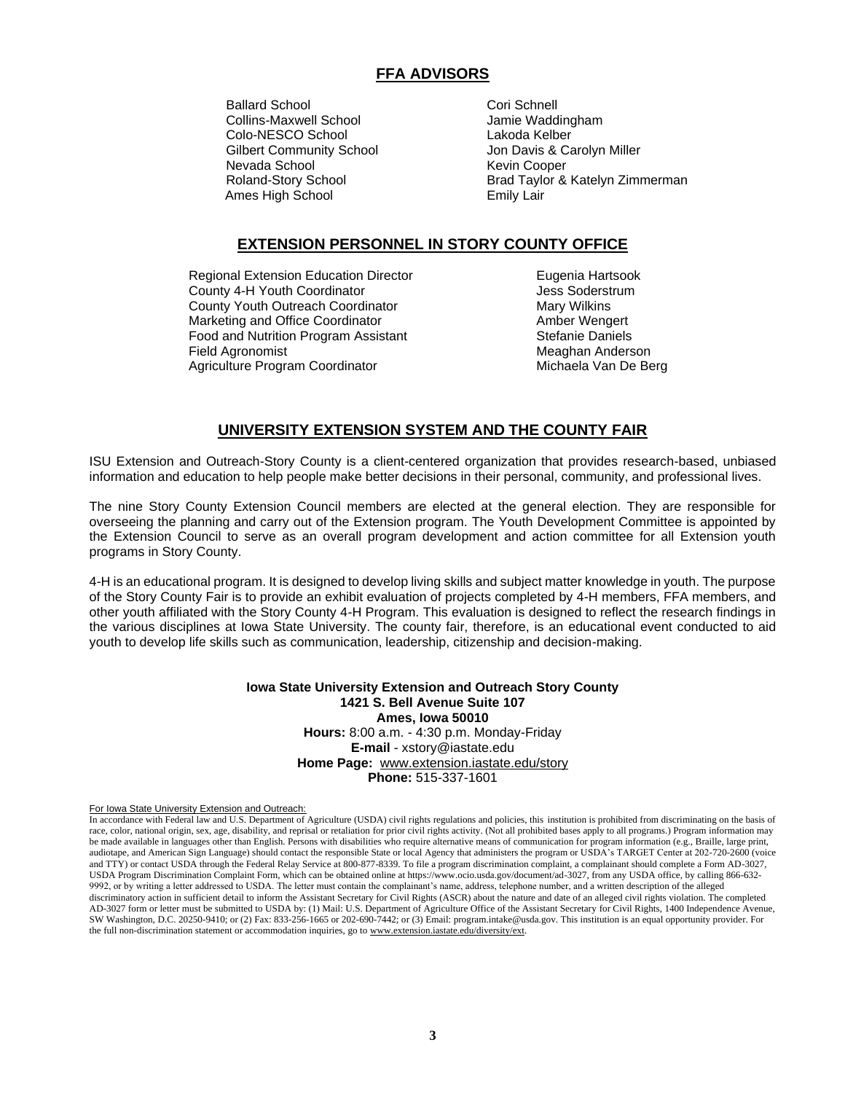# **FFA ADVISORS**

Ballard School **Cori Schnell** Collins-Maxwell School Jamie Waddingham Colo-NESCO School Lakoda Kelber Ames High School **Emily Lair** 

Gilbert Community School **Gilbert Community School** Jon Davis & Carolyn Miller<br>
Nevada School **Gilbert Community** Kevin Cooper Kevin Cooper Roland-Story School **Brad Taylor & Katelyn Zimmerman** 

# **EXTENSION PERSONNEL IN STORY COUNTY OFFICE**

Regional Extension Education Director **Eugenia Hartsook** County 4-H Youth Coordinator **County 4-H Youth Coordinator** Jess Soderstrum County Youth Outreach Coordinator Mary Mary Wilkins Marketing and Office Coordinator **Amber Wengert** Amber Wengert Food and Nutrition Program Assistant Food and Nutrition Program Assistant Field Agronomist **Meaghan Anderson** Meaghan Anderson Agriculture Program Coordinator **Michaela Van De Berg** 

## **UNIVERSITY EXTENSION SYSTEM AND THE COUNTY FAIR**

ISU Extension and Outreach-Story County is a client-centered organization that provides research-based, unbiased information and education to help people make better decisions in their personal, community, and professional lives.

The nine Story County Extension Council members are elected at the general election. They are responsible for overseeing the planning and carry out of the Extension program. The Youth Development Committee is appointed by the Extension Council to serve as an overall program development and action committee for all Extension youth programs in Story County.

4-H is an educational program. It is designed to develop living skills and subject matter knowledge in youth. The purpose of the Story County Fair is to provide an exhibit evaluation of projects completed by 4-H members, FFA members, and other youth affiliated with the Story County 4-H Program. This evaluation is designed to reflect the research findings in the various disciplines at Iowa State University. The county fair, therefore, is an educational event conducted to aid youth to develop life skills such as communication, leadership, citizenship and decision-making.

> **Iowa State University Extension and Outreach Story County 1421 S. Bell Avenue Suite 107 Ames, Iowa 50010 Hours:** 8:00 a.m. - 4:30 p.m. Monday-Friday **E-mail** - xstory@iastate.edu **Home Page:** [www.extension.iastate.edu/story](http://www.extension.iastate.edu/story) **Phone:** 515-337-1601

For Iowa State University Extension and Outreach:

In accordance with Federal law and U.S. Department of Agriculture (USDA) civil rights regulations and policies, this institution is prohibited from discriminating on the basis of race, color, national origin, sex, age, disability, and reprisal or retaliation for prior civil rights activity. (Not all prohibited bases apply to all programs.) Program information may be made available in languages other than English. Persons with disabilities who require alternative means of communication for program information (e.g., Braille, large print, audiotape, and American Sign Language) should contact the responsible State or local Agency that administers the program or USDA's TARGET Center at 202-720-2600 (voice and TTY) or contact USDA through the Federal Relay Service at 800-877-8339. To file a program discrimination complaint, a complainant should complete a Form AD-3027, USDA Program Discrimination Complaint Form, which can be obtained online at https://www.ocio.usda.gov/document/ad-3027, from any USDA office, by calling 866-632- 9992, or by writing a letter addressed to USDA. The letter must contain the complainant's name, address, telephone number, and a written description of the alleged discriminatory action in sufficient detail to inform the Assistant Secretary for Civil Rights (ASCR) about the nature and date of an alleged civil rights violation. The completed AD-3027 form or letter must be submitted to USDA by: (1) Mail: U.S. Department of Agriculture Office of the Assistant Secretary for Civil Rights, 1400 Independence Avenue, SW Washington, D.C. 20250-9410; or (2) Fax: 833-256-1665 or 202-690-7442; or (3) Email: program.intake@usda.gov. This institution is an equal opportunity provider. For the full non-discrimination statement or accommodation inquiries, go t[o www.extension.iastate.edu/diversity/ext.](http://www.extension.iastate.edu/diversity/ext)